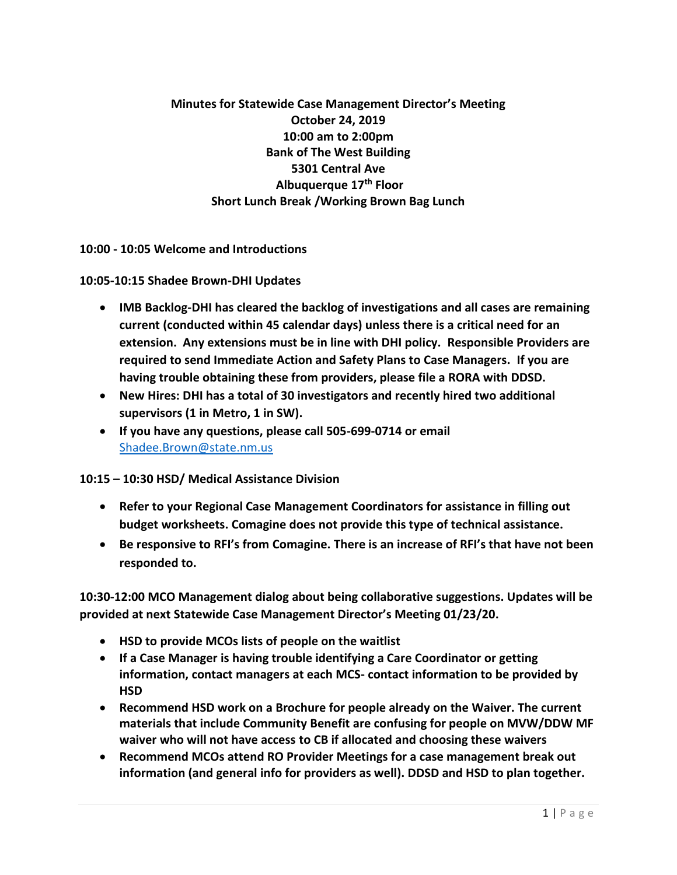**Minutes for Statewide Case Management Director's Meeting October 24, 2019 10:00 am to 2:00pm Bank of The West Building 5301 Central Ave Albuquerque 17th Floor Short Lunch Break /Working Brown Bag Lunch**

**10:00 - 10:05 Welcome and Introductions** 

**10:05-10:15 Shadee Brown-DHI Updates** 

- **IMB Backlog-DHI has cleared the backlog of investigations and all cases are remaining current (conducted within 45 calendar days) unless there is a critical need for an extension. Any extensions must be in line with DHI policy. Responsible Providers are required to send Immediate Action and Safety Plans to Case Managers. If you are having trouble obtaining these from providers, please file a RORA with DDSD.**
- **New Hires: DHI has a total of 30 investigators and recently hired two additional supervisors (1 in Metro, 1 in SW).**
- **If you have any questions, please call 505-699-0714 or email** [Shadee.Brown@state.nm.us](mailto:Shadee.Brown@state.nm.us)

**10:15 – 10:30 HSD/ Medical Assistance Division** 

- **Refer to your Regional Case Management Coordinators for assistance in filling out budget worksheets. Comagine does not provide this type of technical assistance.**
- **Be responsive to RFI's from Comagine. There is an increase of RFI's that have not been responded to.**

**10:30-12:00 MCO Management dialog about being collaborative suggestions. Updates will be provided at next Statewide Case Management Director's Meeting 01/23/20.** 

- **HSD to provide MCOs lists of people on the waitlist**
- **If a Case Manager is having trouble identifying a Care Coordinator or getting information, contact managers at each MCS- contact information to be provided by HSD**
- **Recommend HSD work on a Brochure for people already on the Waiver. The current materials that include Community Benefit are confusing for people on MVW/DDW MF waiver who will not have access to CB if allocated and choosing these waivers**
- **Recommend MCOs attend RO Provider Meetings for a case management break out information (and general info for providers as well). DDSD and HSD to plan together.**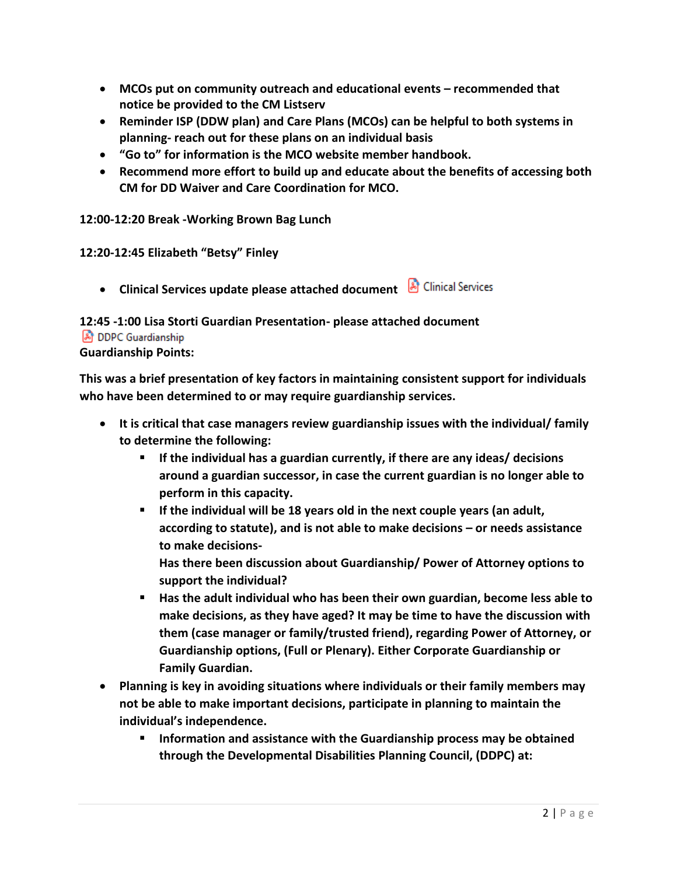- **MCOs put on community outreach and educational events – recommended that notice be provided to the CM Listserv**
- **Reminder ISP (DDW plan) and Care Plans (MCOs) can be helpful to both systems in planning- reach out for these plans on an individual basis**
- **"Go to" for information is the MCO website member handbook.**
- **Recommend more effort to build up and educate about the benefits of accessing both CM for DD Waiver and Care Coordination for MCO.**

**12:00-12:20 Break -Working Brown Bag Lunch** 

**12:20-12:45 Elizabeth "Betsy" Finley** 

• **Clinical Services update please attached document** 

# **12:45 -1:00 Lisa Storti Guardian Presentation- please attached document**

#### **A** DDPC Guardianship

## **Guardianship Points:**

**This was a brief presentation of key factors in maintaining consistent support for individuals who have been determined to or may require guardianship services.**

- **It is critical that case managers review guardianship issues with the individual/ family to determine the following:**
	- **If the individual has a guardian currently, if there are any ideas/ decisions around a guardian successor, in case the current guardian is no longer able to perform in this capacity.**
	- **If the individual will be 18 years old in the next couple years (an adult, according to statute), and is not able to make decisions – or needs assistance to make decisions-**

**Has there been discussion about Guardianship/ Power of Attorney options to support the individual?** 

- Has the adult individual who has been their own guardian, become less able to **make decisions, as they have aged? It may be time to have the discussion with them (case manager or family/trusted friend), regarding Power of Attorney, or Guardianship options, (Full or Plenary). Either Corporate Guardianship or Family Guardian.**
- **Planning is key in avoiding situations where individuals or their family members may not be able to make important decisions, participate in planning to maintain the individual's independence.** 
	- **Information and assistance with the Guardianship process may be obtained through the Developmental Disabilities Planning Council, (DDPC) at:**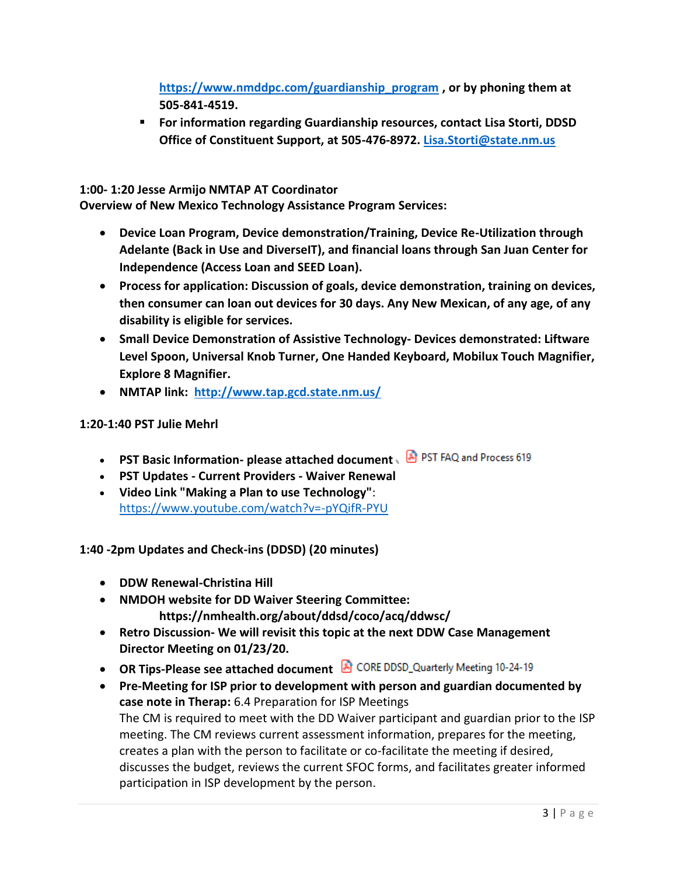**[https://www.nmddpc.com/guardianship\\_program](https://www.nmddpc.com/guardianship_program) , or by phoning them at 505-841-4519.** 

▪ **For information regarding Guardianship resources, contact Lisa Storti, DDSD Office of Constituent Support, at 505-476-8972. [Lisa.Storti@state.nm.us](mailto:Lisa.Storti@state.nm.us)**

**1:00- 1:20 Jesse Armijo NMTAP AT Coordinator** 

**Overview of New Mexico Technology Assistance Program Services:**

- **Device Loan Program, Device demonstration/Training, Device Re-Utilization through Adelante (Back in Use and DiverseIT), and financial loans through San Juan Center for Independence (Access Loan and SEED Loan).**
- **Process for application: Discussion of goals, device demonstration, training on devices, then consumer can loan out devices for 30 days. Any New Mexican, of any age, of any disability is eligible for services.**
- **Small Device Demonstration of Assistive Technology- Devices demonstrated: Liftware Level Spoon, Universal Knob Turner, One Handed Keyboard, Mobilux Touch Magnifier, Explore 8 Magnifier.**
- **NMTAP link: <http://www.tap.gcd.state.nm.us/>**

## **1:20-1:40 PST Julie Mehrl**

- **PST Basic Information- please attached document**
- **PST Updates - Current Providers - Waiver Renewal**
- **Video Link "Making a Plan to use Technology"**: <https://www.youtube.com/watch?v=-pYQifR-PYU>

**1:40 -2pm Updates and Check-ins (DDSD) (20 minutes)**

- **DDW Renewal-Christina Hill**
- **NMDOH website for DD Waiver Steering Committee: https://nmhealth.org/about/ddsd/coco/acq/ddwsc/**
- **Retro Discussion- We will revisit this topic at the next DDW Case Management Director Meeting on 01/23/20.**
- **OR Tips-Please see attached document & CORE DDSD\_Quarterly Meeting 10-24-19**
- **Pre-Meeting for ISP prior to development with person and guardian documented by case note in Therap:** 6.4 Preparation for ISP Meetings The CM is required to meet with the DD Waiver participant and guardian prior to the ISP meeting. The CM reviews current assessment information, prepares for the meeting, creates a plan with the person to facilitate or co-facilitate the meeting if desired, discusses the budget, reviews the current SFOC forms, and facilitates greater informed participation in ISP development by the person.